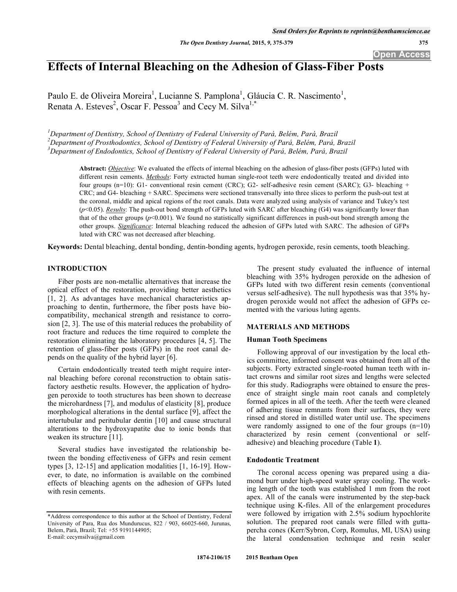# **Effects of Internal Bleaching on the Adhesion of Glass-Fiber Posts**

Paulo E. de Oliveira Moreira<sup>1</sup>, Lucianne S. Pamplona<sup>1</sup>, Gláucia C. R. Nascimento<sup>1</sup>, Renata A. Esteves<sup>2</sup>, Oscar F. Pessoa<sup>3</sup> and Cecy M. Silva<sup>1,\*</sup>

*1 Department of Dentistry, School of Dentistry of Federal University of Pará, Belém, Pará, Brazil 2 Department of Prosthodontics, School of Dentistry of Federal University of Pará, Belém, Pará, Brazil 3 Department of Endodontics, School of Dentistry of Federal University of Pará, Belém, Pará, Brazil* 

> **Abstract:** *Objective*: We evaluated the effects of internal bleaching on the adhesion of glass-fiber posts (GFPs) luted with different resin cements. *Methods*: Forty extracted human single-root teeth were endodontically treated and divided into four groups (n=10): G1- conventional resin cement (CRC); G2- self-adhesive resin cement (SARC); G3- bleaching + CRC; and G4- bleaching + SARC. Specimens were sectioned transversally into three slices to perform the push-out test at the coronal, middle and apical regions of the root canals. Data were analyzed using analysis of variance and Tukey's test  $(p<0.05)$ . *Results*: The push-out bond strength of GFPs luted with SARC after bleaching (G4) was significantly lower than that of the other groups ( $p$ <0.001). We found no statistically significant differences in push-out bond strength among the other groups. *Significance*: Internal bleaching reduced the adhesion of GFPs luted with SARC. The adhesion of GFPs luted with CRC was not decreased after bleaching.

**Keywords:** Dental bleaching, dental bonding, dentin-bonding agents, hydrogen peroxide, resin cements, tooth bleaching.

#### **INTRODUCTION**

Fiber posts are non-metallic alternatives that increase the optical effect of the restoration, providing better aesthetics [1, 2]. As advantages have mechanical characteristics approaching to dentin, furthermore, the fiber posts have biocompatibility, mechanical strength and resistance to corrosion [2, 3]. The use of this material reduces the probability of root fracture and reduces the time required to complete the restoration eliminating the laboratory procedures [4, 5]. The retention of glass-fiber posts (GFPs) in the root canal depends on the quality of the hybrid layer [6].

Certain endodontically treated teeth might require internal bleaching before coronal reconstruction to obtain satisfactory aesthetic results. However, the application of hydrogen peroxide to tooth structures has been shown to decrease the microhardness [7], and modulus of elasticity [8], produce morphological alterations in the dental surface [9], affect the intertubular and peritubular dentin [10] and cause structural alterations to the hydroxyapatite due to ionic bonds that weaken its structure [11].

Several studies have investigated the relationship between the bonding effectiveness of GFPs and resin cement types [3, 12-15] and application modalities [1, 16-19]. However, to date, no information is available on the combined effects of bleaching agents on the adhesion of GFPs luted with resin cements.

The present study evaluated the influence of internal bleaching with 35% hydrogen peroxide on the adhesion of GFPs luted with two different resin cements (conventional versus self-adhesive). The null hypothesis was that 35% hydrogen peroxide would not affect the adhesion of GFPs cemented with the various luting agents.

#### **MATERIALS AND METHODS**

#### **Human Tooth Specimens**

Following approval of our investigation by the local ethics committee, informed consent was obtained from all of the subjects. Forty extracted single-rooted human teeth with intact crowns and similar root sizes and lengths were selected for this study. Radiographs were obtained to ensure the presence of straight single main root canals and completely formed apices in all of the teeth. After the teeth were cleaned of adhering tissue remnants from their surfaces, they were rinsed and stored in distilled water until use. The specimens were randomly assigned to one of the four groups (n=10) characterized by resin cement (conventional or selfadhesive) and bleaching procedure (Table **1**).

#### **Endodontic Treatment**

The coronal access opening was prepared using a diamond burr under high-speed water spray cooling. The working length of the tooth was established 1 mm from the root apex. All of the canals were instrumented by the step-back technique using K-files. All of the enlargement procedures were followed by irrigation with 2.5% sodium hypochlorite solution. The prepared root canals were filled with guttapercha cones (Kerr/Sybron, Corp, Romulus, MI, USA) using the lateral condensation technique and resin sealer

<sup>\*</sup>Address correspondence to this author at the School of Dentistry, Federal University of Para, Rua dos Mundurucus, 822 / 903, 66025-660, Jurunas, Belem, Pará, Brazil; Tel: +55 9191144905; E-mail: cecymsilva@gmail.com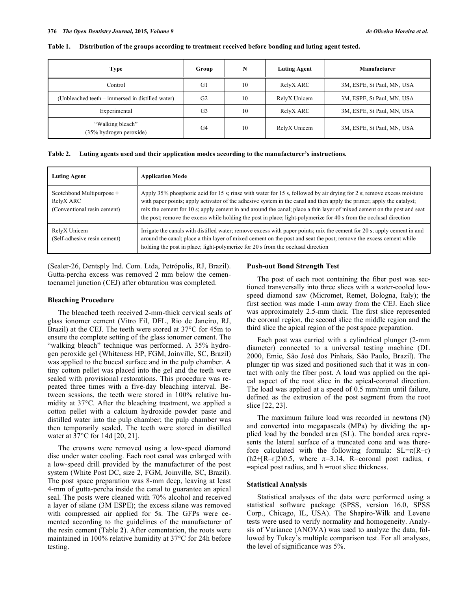| <b>Type</b>                                      | Group          | N  | <b>Luting Agent</b> | Manufacturer               |
|--------------------------------------------------|----------------|----|---------------------|----------------------------|
| Control                                          | G1             | 10 | RelyX ARC           | 3M, ESPE, St Paul, MN, USA |
| (Unbleached teeth – immersed in distilled water) | G <sub>2</sub> | 10 | RelyX Unicem        | 3M, ESPE, St Paul, MN, USA |
| Experimental                                     | G <sub>3</sub> | 10 | RelyX ARC           | 3M, ESPE, St Paul, MN, USA |
| "Walking bleach"<br>(35% hydrogen peroxide)      | G4             | 10 | RelyX Unicem        | 3M, ESPE, St Paul, MN, USA |

**Table 1. Distribution of the groups according to treatment received before bonding and luting agent tested.** 

**Table 2. Luting agents used and their application modes according to the manufacturer's instructions.** 

| <b>Luting Agent</b>                                                   | <b>Application Mode</b>                                                                                                                                                                                                                                                                                                                                                                                                                                                                        |
|-----------------------------------------------------------------------|------------------------------------------------------------------------------------------------------------------------------------------------------------------------------------------------------------------------------------------------------------------------------------------------------------------------------------------------------------------------------------------------------------------------------------------------------------------------------------------------|
| Scotchbond Multipurpose +<br>RelyX ARC<br>(Conventional resin cement) | Apply 35% phosphoric acid for 15 s; rinse with water for 15 s, followed by air drying for 2 s; remove excess moisture<br>with paper points; apply activator of the adhesive system in the canal and then apply the primer; apply the catalyst;<br>mix the cement for 10 s; apply cement in and around the canal; place a thin layer of mixed cement on the post and seat<br>the post; remove the excess while holding the post in place; light-polymerize for 40 s from the occlusal direction |
| RelyX Unicem<br>(Self-adhesive resin cement)                          | Irrigate the canals with distilled water; remove excess with paper points; mix the cement for 20 s; apply cement in and<br>around the canal; place a thin layer of mixed cement on the post and seat the post; remove the excess cement while<br>holding the post in place; light-polymerize for 20 s from the occlusal direction                                                                                                                                                              |

(Sealer-26, Dentsply Ind. Com. Ltda, Petrópolis, RJ, Brazil). Gutta-percha excess was removed 2 mm below the cementoenamel junction (CEJ) after obturation was completed.

# **Bleaching Procedure**

The bleached teeth received 2-mm-thick cervical seals of glass ionomer cement (Vitro Fil, DFL, Rio de Janeiro, RJ, Brazil) at the CEJ. The teeth were stored at 37°C for 45m to ensure the complete setting of the glass ionomer cement. The "walking bleach" technique was performed. A 35% hydrogen peroxide gel (Whiteness HP, FGM, Joinville, SC, Brazil) was applied to the buccal surface and in the pulp chamber. A tiny cotton pellet was placed into the gel and the teeth were sealed with provisional restorations. This procedure was repeated three times with a five-day bleaching interval. Between sessions, the teeth were stored in 100% relative humidity at 37°C. After the bleaching treatment, we applied a cotton pellet with a calcium hydroxide powder paste and distilled water into the pulp chamber; the pulp chamber was then temporarily sealed. The teeth were stored in distilled water at 37°C for 14d [20, 21].

The crowns were removed using a low-speed diamond disc under water cooling. Each root canal was enlarged with a low-speed drill provided by the manufacturer of the post system (White Post DC, size 2, FGM, Joinville, SC, Brazil). The post space preparation was 8-mm deep, leaving at least 4-mm of gutta-percha inside the canal to guarantee an apical seal. The posts were cleaned with 70% alcohol and received a layer of silane (3M ESPE); the excess silane was removed with compressed air applied for 5s. The GFPs were cemented according to the guidelines of the manufacturer of the resin cement (Table **2**). After cementation, the roots were maintained in 100% relative humidity at 37°C for 24h before testing.

# **Push-out Bond Strength Test**

The post of each root containing the fiber post was sectioned transversally into three slices with a water-cooled lowspeed diamond saw (Micromet, Remet, Bologna, Italy); the first section was made 1-mm away from the CEJ. Each slice was approximately 2.5-mm thick. The first slice represented the coronal region, the second slice the middle region and the third slice the apical region of the post space preparation.

Each post was carried with a cylindrical plunger (2-mm diameter) connected to a universal testing machine (DL 2000, Emic, São José dos Pinhais, São Paulo, Brazil). The plunger tip was sized and positioned such that it was in contact with only the fiber post. A load was applied on the apical aspect of the root slice in the apical-coronal direction. The load was applied at a speed of 0.5 mm/min until failure, defined as the extrusion of the post segment from the root slice [22, 23].

The maximum failure load was recorded in newtons (N) and converted into megapascals (MPa) by dividing the applied load by the bonded area (SL). The bonded area represents the lateral surface of a truncated cone and was therefore calculated with the following formula:  $SL = \pi(R+r)$  $(h2+[R-r]2)0.5$ , where  $\pi=3.14$ , R=coronal post radius, r =apical post radius, and h =root slice thickness.

# **Statistical Analysis**

Statistical analyses of the data were performed using a statistical software package (SPSS, version 16.0, SPSS Corp., Chicago, IL, USA). The Shapiro-Wilk and Levene tests were used to verify normality and homogeneity. Analysis of Variance (ANOVA) was used to analyze the data, followed by Tukey's multiple comparison test. For all analyses, the level of significance was 5%.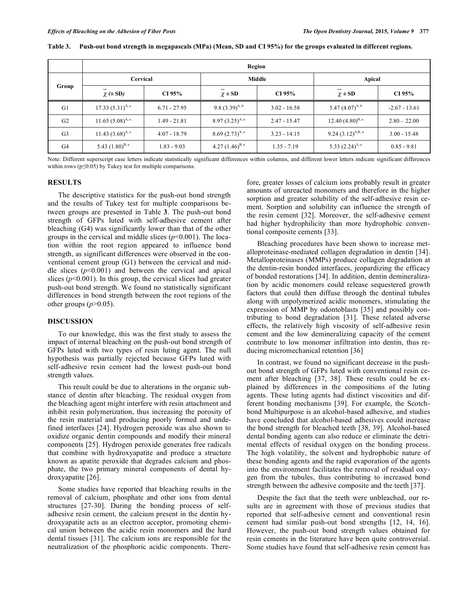|                | Region                       |                |                      |                |                       |                 |  |  |  |
|----------------|------------------------------|----------------|----------------------|----------------|-----------------------|-----------------|--|--|--|
| Group          | Cervical                     |                |                      | Middle         | Apical                |                 |  |  |  |
|                | $\chi \left( \pm SD \right)$ | CI 95%         | $\chi \pm SD$        | CI 95%         | $\chi \pm SD$         | CI 95%          |  |  |  |
| G <sub>1</sub> | 17.33 $(5.31)^{A, a}$        | $6.71 - 27.95$ | 9.8 $(3.39)^{A, b}$  | $3.02 - 16.58$ | 5.47 $(4.07)^{A, b}$  | $-2.67 - 13.61$ |  |  |  |
| G <sub>2</sub> | 11.65 $(5.08)^{A, a}$        | $1.49 - 21.81$ | $8.97(3.25)^{A, a}$  | $2.47 - 15.47$ | 12.40 $(4.80)^{B, a}$ | $2.80 - 22.00$  |  |  |  |
| G <sub>3</sub> | 11.43 $(3.68)^{A, a}$        | $4.07 - 18.79$ | $8.69(2.73)^{A, a}$  | $3.23 - 14.15$ | 9.24 $(3.12)^{A,B,a}$ | $3.00 - 15.48$  |  |  |  |
| G <sub>4</sub> | 5.43 $(1.80)^{B, a}$         | $1.83 - 9.03$  | 4.27 $(1.46)^{B, a}$ | $1.35 - 7.19$  | 5.33 $(2.24)^{A, a}$  | $0.85 - 9.81$   |  |  |  |

**Table 3. Push-out bond strength in megapascals (MPa) (Mean, SD and CI 95%) for the groups evaluated in different regions.** 

Note: Different superscript case letters indicate statistically significant differences within columns, and different lower letters indicate significant differences within rows ( $p \le 0.05$ ) by Tukey test for multiple comparisons.

### **RESULTS**

The descriptive statistics for the push-out bond strength and the results of Tukey test for multiple comparisons between groups are presented in Table **3**. The push-out bond strength of GFPs luted with self-adhesive cement after bleaching (G4) was significantly lower than that of the other groups in the cervical and middle slices  $(p<0.001)$ . The location within the root region appeared to influence bond strength, as significant differences were observed in the conventional cement group (G1) between the cervical and middle slices  $(p<0.001)$  and between the cervical and apical slices  $(p<0.001)$ . In this group, the cervical slices had greater push-out bond strength. We found no statistically significant differences in bond strength between the root regions of the other groups  $(p>0.05)$ .

#### **DISCUSSION**

To our knowledge, this was the first study to assess the impact of internal bleaching on the push-out bond strength of GFPs luted with two types of resin luting agent. The null hypothesis was partially rejected because GFPs luted with self-adhesive resin cement had the lowest push-out bond strength values.

This result could be due to alterations in the organic substance of dentin after bleaching. The residual oxygen from the bleaching agent might interfere with resin attachment and inhibit resin polymerization, thus increasing the porosity of the resin material and producing poorly formed and undefined interfaces [24]. Hydrogen peroxide was also shown to oxidize organic dentin compounds and modify their mineral components [25]. Hydrogen peroxide generates free radicals that combine with hydroxyapatite and produce a structure known as apatite peroxide that degrades calcium and phosphate, the two primary mineral components of dental hydroxyapatite [26].

Some studies have reported that bleaching results in the removal of calcium, phosphate and other ions from dental structures [27-30]. During the bonding process of selfadhesive resin cement, the calcium present in the dentin hydroxyapatite acts as an electron acceptor, promoting chemical union between the acidic resin monomers and the hard dental tissues [31]. The calcium ions are responsible for the neutralization of the phosphoric acidic components. Therefore, greater losses of calcium ions probably result in greater amounts of unreacted monomers and therefore in the higher sorption and greater solubility of the self-adhesive resin cement. Sorption and solubility can influence the strength of the resin cement [32]. Moreover, the self-adhesive cement had higher hydrophilicity than more hydrophobic conventional composite cements [33].

Bleaching procedures have been shown to increase metalloproteinase-mediated collagen degradation in dentin [34]. Metalloproteinases (MMPs) produce collagen degradation at the dentin-resin bonded interfaces, jeopardizing the efficacy of bonded restorations [34]. In addition, dentin demineralization by acidic monomers could release sequestered growth factors that could then diffuse through the dentinal tubules along with unpolymerized acidic monomers, stimulating the expression of MMP by odontoblasts [35] and possibly contributing to bond degradation [31]. These related adverse effects, the relatively high viscosity of self-adhesive resin cement and the low demineralizing capacity of the cement contribute to low monomer infiltration into dentin, thus reducing micromechanical retention [36]

In contrast, we found no significant decrease in the pushout bond strength of GFPs luted with conventional resin cement after bleaching [37, 38]. These results could be explained by differences in the compositions of the luting agents. These luting agents had distinct viscosities and different bonding mechanisms [39]. For example, the Scotchbond Multipurpose is an alcohol-based adhesive, and studies have concluded that alcohol-based adhesives could increase the bond strength for bleached teeth [38, 39]. Alcohol-based dental bonding agents can also reduce or eliminate the detrimental effects of residual oxygen on the bonding process. The high volatility, the solvent and hydrophobic nature of these bonding agents and the rapid evaporation of the agents into the environment facilitates the removal of residual oxygen from the tubules, thus contributing to increased bond strength between the adhesive composite and the teeth [37].

Despite the fact that the teeth were unbleached, our results are in agreement with those of previous studies that reported that self-adhesive cement and conventional resin cement had similar push-out bond strengths [12, 14, 16]. However, the push-out bond strength values obtained for resin cements in the literature have been quite controversial. Some studies have found that self-adhesive resin cement has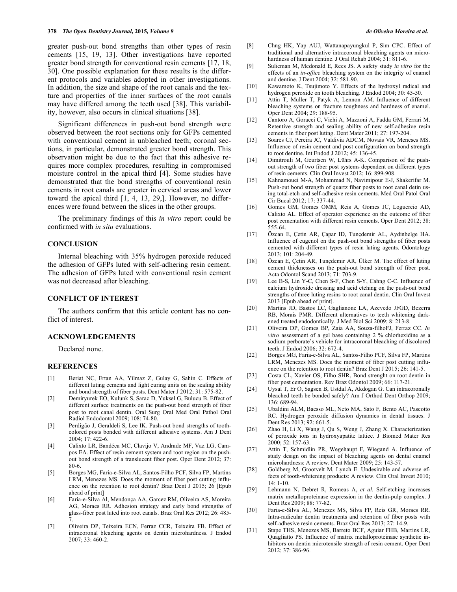greater push-out bond strengths than other types of resin cements [15, 19, 13]. Other investigations have reported greater bond strength for conventional resin cements [17, 18, 30]. One possible explanation for these results is the different protocols and variables adopted in other investigations. In addition, the size and shape of the root canals and the texture and properties of the inner surfaces of the root canals may have differed among the teeth used [38]. This variability, however, also occurs in clinical situations [38].

Significant differences in push-out bond strength were observed between the root sections only for GFPs cemented with conventional cement in unbleached teeth; coronal sections, in particular, demonstrated greater bond strength. This observation might be due to the fact that this adhesive requires more complex procedures, resulting in compromised moisture control in the apical third [4]. Some studies have demonstrated that the bond strengths of conventional resin cements in root canals are greater in cervical areas and lower toward the apical third [1, 4, 13, 29,]. However, no differences were found between the slices in the other groups.

The preliminary findings of this *in vitro* report could be confirmed with *in situ* evaluations.

## **CONCLUSION**

Internal bleaching with 35% hydrogen peroxide reduced the adhesion of GFPs luted with self-adhering resin cement. The adhesion of GFPs luted with conventional resin cement was not decreased after bleaching.

### **CONFLICT OF INTEREST**

The authors confirm that this article content has no conflict of interest.

#### **ACKNOWLEDGEMENTS**

Declared none.

#### **REFERENCES**

- [1] Beriat NC, Ertan AA, Yilmaz Z, Gulay G, Sahin C. Effects of different luting cements and light curing units on the sealing ability and bond strength of fiber posts. Dent Mater J 2012; 31: 575-82.
- [2] Demiryurek EO, Kulunk S, Sarac D, Yuksel G, Bulucu B. Effect of different surface treatments on the push-out bond strength of fiber post to root canal dentin. Oral Surg Oral Med Oral Pathol Oral Radiol Endodontol 2009; 108: 74-80.
- [3] Perdigão J, Geraldeli S, Lee IK. Push-out bond strengths of toothcolored posts bonded with different adhesive systems. Am J Dent 2004; 17: 422-6.
- [4] Calixto LR, Bandéca MC, Clavijo V, Andrade MF, Vaz LG, Campos EA. Effect of resin cement system and root region on the pushout bond strength of a translucent fiber post. Oper Dent 2012; 37: 80-6.
- [5] Borges MG, Faria-e-Silva AL, Santos-Filho PCF, Silva FP, Martins LRM, Menezes MS. Does the moment of fiber post cutting influence on the retention to root dentin? Braz Dent J 2015; 26 [Epub ahead of print]
- [6] Faria-e-Silva Al, Mendonça AA, Garcez RM, Oliveira AS, Moreira AG, Moraes RR. Adhesion strategy and early bond strengths of glass-fiber post luted into root canals. Braz Oral Res 2012; 26: 485- 7.
- [7] Oliveira DP, Teixeira ECN, Ferraz CCR, Teixeira FB. Effect of intracoronal bleaching agents on dentin microhardness. J Endod 2007; 33: 460-2.
- [8] Chng HK, Yap AUJ, Wattanapayungkul P, Sim CPC. Effect of traditional and alternative intracoronal bleaching agents on microhardness of human dentine. J Oral Rehab 2004; 31: 811-6.
- [9] Sulieman M, Mcdonald E, Rees JS. A safety study *in vitro* for the effects of an *in-office* bleaching system on the integrity of enamel and dentine. J Dent 2004; 32: 581-90.
- [10] Kawamoto K, Tsujimoto Y. Effects of the hydroxyl radical and hydrogen peroxide on tooth bleaching. J Endod 2004; 30: 45-50.
- [11] Attin T, Muller T, Patyk A, Lennon AM. Influence of different bleaching systems on fracture toughness and hardness of enamel. Oper Dent 2004; 29: 188-95.
- [12] Cantoro A, Goracci C, Vichi A, Mazzoni A, Fadda GM, Ferrari M. Retentive strength and sealing ability of new self-adhesive resin cements in fiber post luting. Dent Mater 2011; 27: 197-204.
- [13] Soares CJ, Pereira JC, Valdivia ADCM, Novais VR, Meneses MS. Influence of resin cement and post configuration on bond strength to root dentine. Int Endod J 2012; 45: 136-45.
- [14] Dimitrouli M, Geurtsen W, Lührs A-K. Comparison of the pushout strength of two fiber post systems dependent on different types of resin cements. Clin Oral Invest 2012; 16: 899-908.
- [15] Kahnamouei M-A, Mohammad N, Navimipour E-J, Shakerifar M. Push-out bond strength of quartz fiber posts to root canal detin using total-etch and self-adhesive resin cements. Med Oral Patol Oral Cir Bucal 2012; 17: 337-44.
- [16] Gomes GM, Gomes OMM, Reis A, Gomes JC, Loguercio AD, Calixto AL. Effect of operator experience on the outcome of fiber post cementation with different resin cements. Oper Dent 2012; 38: 555-64.
- [17] Özcan E, Çetin AR, Çapar ID, Tunçdemir AL, Aydinbelge HA. Influence of eugenol on the push-out bond strengths of fiber posts cemented with different types of resin luting agents. Odontology 2013; 101: 204-49.
- [18] Özcan E, Çetin AR, Tunçdemir AR, Ülker M. The effect of luting cement thicknesses on the push-out bond strength of fiber post. Acta Odontol Scand 2013; 71: 703-9.
- [19] Lee B-S, Lin Y-C, Chen S-F, Chen S-Y, Cahng C-C. Influence of calcium hydroxide dressing and acid etching on the push-out bond strengths of three luting resins to root canal dentin. Clin Oral Invest 2013 [Epub ahead of print].
- [20] Martins JD, Bastos LC, Gaglianone LA, Azevedo JFGD, Bezerra RB, Morais PMR. Different alternatives to teeth whitening darkened treated endodontically. J Med Biol Sci 2009; 8: 213-8.
- [21] Oliveira DP, Gomes BP, Zaia AA, Souza-filhoFJ, Ferraz CC. *In vitro* assessment of a gel base containing 2 % chlorhexidine as a sodium perborate's vehicle for intracoronal bleaching of discolored teeth. J Endod 2006; 32: 672-4.
- [22] Borges MG, Faria-e-Silva AL, Santos-Filho PCF, Silva FP, Martins LRM, Menezes MS. Does the moment of fiber post cutting influence on the retention to root dentin? Braz Dent J 2015; 26: 141-5.
- [23] Costa CL, Xavier OS, Filho SHR, Bond strenght on root dentin in fiber post cementation. Rev Braz Odontol 2009; 66: 117-21.
- [24] Uysal T, Er O, Sagsen B, Ustdal A, Akdogan G. Can intracoronally bleached teeth be bonded safely? Am J Orthod Dent Orthop 2009; 136: 689-94.
- [25] Ubaldini ALM, Baesso ML, Neto MA, Sato F, Bento AC, Pascotto RC. Hydrogen peroxide diffusion dynamics in dental tissues. J Dent Res 2013; 92: 661-5.
- [26] Zhao H, Li X, Wang J, Qu S, Weng J, Zhang X. Characterization of peroxide ions in hydroxyapatite lattice. J Biomed Mater Res 2000; 52: 157-63.
- [27] Attin T, Schmidlin PR, Wegehaupt F, Wiegand A. Influence of study design on the impact of bleaching agents on dental enamel microhardness: A review. Dent Mater 2009; 25: 143-57.
- [28] Goldberg M, Grootvelt M, Lynch E. Undesirable and adverse effects of tooth-whitening products: A review. Clin Oral Invest 2010; 14: 1-10.
- [29] Lehmann N, Debret R, Romeas A, *et al*. Self-etching increases matrix metalloproteinase expression in the dentin-pulp complex. J Dent Res 2009; 88: 77-82.
- [30] Faria-e-Silva AL, Menezes MS, Silva FP, Reis GR, Moraes RR. Intra-radicular dentin treatments and retention of fiber posts with self-adhesive resin cements. Braz Oral Res 2013; 27: 14-9.
- [31] Stape THS, Menezes MS, Barreto BCF, Aguiar FHB, Martins LR, Quagliatto PS. Influence of matrix metalloproteinase synthetic inhibitors on dentin microtensile strength of resin cement. Oper Dent 2012; 37: 386-96.